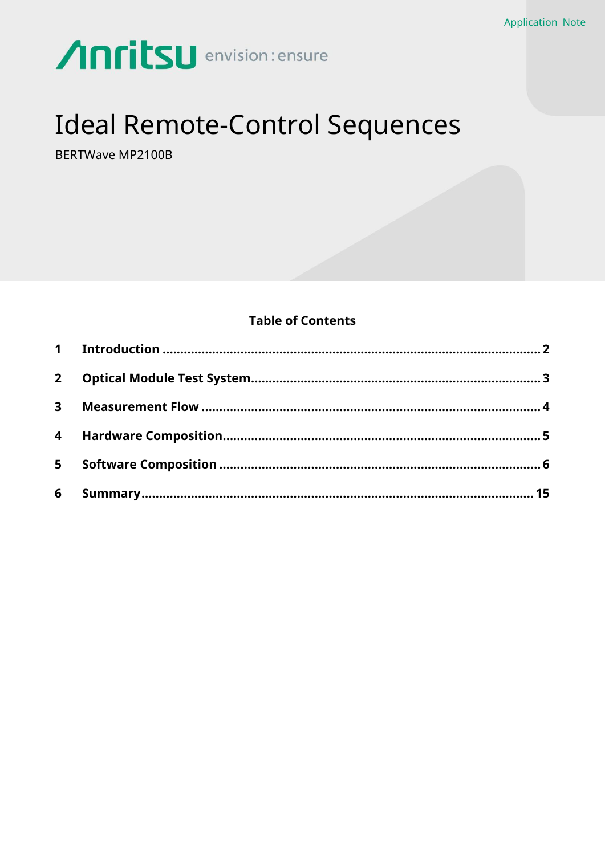# Anritsu envision: ensure

# **Ideal Remote-Control Sequences**

BERTWave MP2100B

# **Table of Contents**

| $2^{\circ}$             |  |
|-------------------------|--|
| $\overline{\mathbf{3}}$ |  |
|                         |  |
| $5 -$                   |  |
| 6                       |  |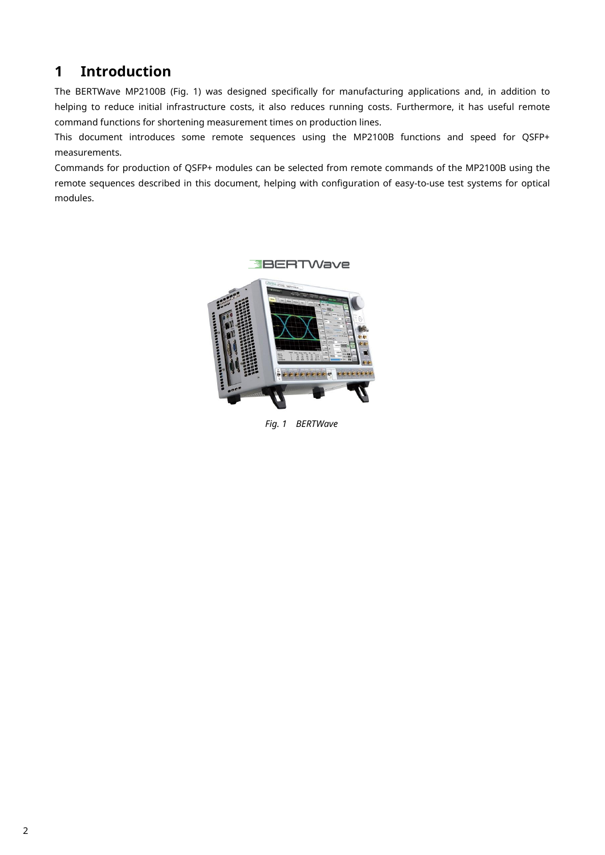# <span id="page-1-0"></span>**1 Introduction**

The BERTWave MP2100B (Fig. 1) was designed specifically for manufacturing applications and, in addition to helping to reduce initial infrastructure costs, it also reduces running costs. Furthermore, it has useful remote command functions for shortening measurement times on production lines.

This document introduces some remote sequences using the MP2100B functions and speed for QSFP+ measurements.

Commands for production of QSFP+ modules can be selected from remote commands of the MP2100B using the remote sequences described in this document, helping with configuration of easy-to-use test systems for optical modules.



*Fig. 1 BERTWave*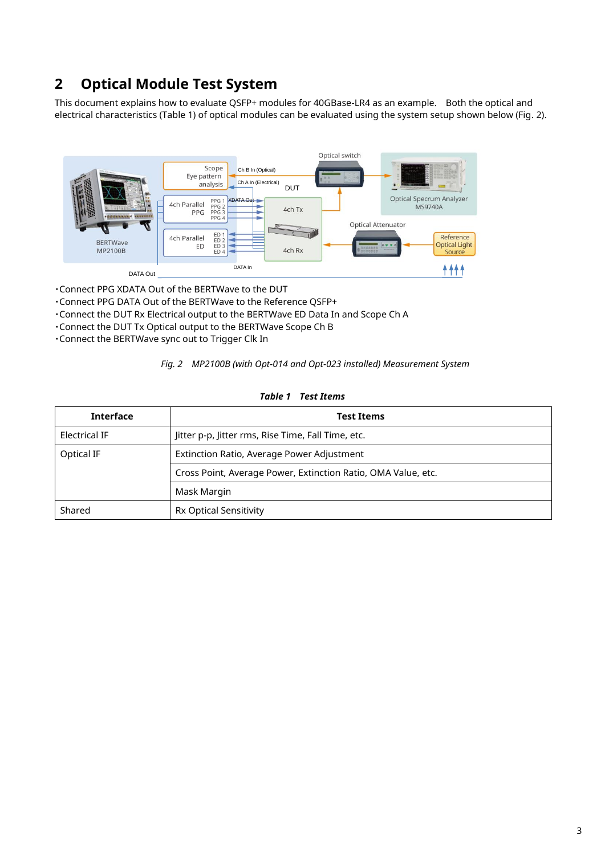# <span id="page-2-0"></span>**2 Optical Module Test System**

This document explains how to evaluate QSFP+ modules for 40GBase-LR4 as an example. Both the optical and electrical characteristics (Table 1) of optical modules can be evaluated using the system setup shown below (Fig. 2).



・Connect PPG XDATA Out of the BERTWave to the DUT

- ・Connect PPG DATA Out of the BERTWave to the Reference QSFP+
- ・Connect the DUT Rx Electrical output to the BERTWave ED Data In and Scope Ch A
- ・Connect the DUT Tx Optical output to the BERTWave Scope Ch B
- ・Connect the BERTWave sync out to Trigger Clk In

|  | Fig. 2  MP2100B (with Opt-014 and Opt-023 installed) Measurement System |  |  |
|--|-------------------------------------------------------------------------|--|--|
|--|-------------------------------------------------------------------------|--|--|

| <b>Interface</b>     | <b>Test Items</b>                                             |  |  |
|----------------------|---------------------------------------------------------------|--|--|
| <b>Electrical IF</b> | Jitter p-p, Jitter rms, Rise Time, Fall Time, etc.            |  |  |
| Optical IF           | Extinction Ratio, Average Power Adjustment                    |  |  |
|                      | Cross Point, Average Power, Extinction Ratio, OMA Value, etc. |  |  |
|                      | Mask Margin                                                   |  |  |
| Shared               | <b>Rx Optical Sensitivity</b>                                 |  |  |

### *Table 1 Test Items*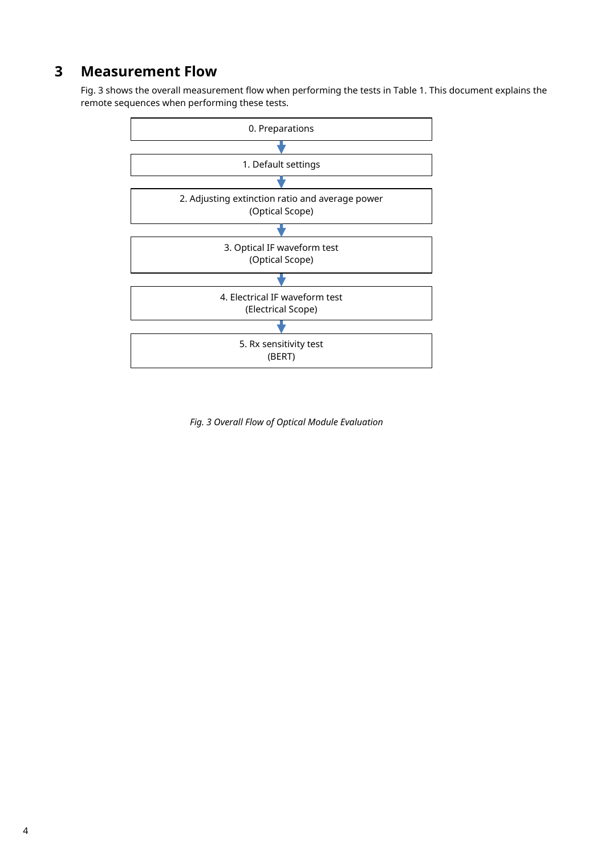# <span id="page-3-0"></span>**3 Measurement Flow**

Fig. 3 shows the overall measurement flow when performing the tests in Table 1. This document explains the remote sequences when performing these tests.



*Fig. 3 Overall Flow of Optical Module Evaluation*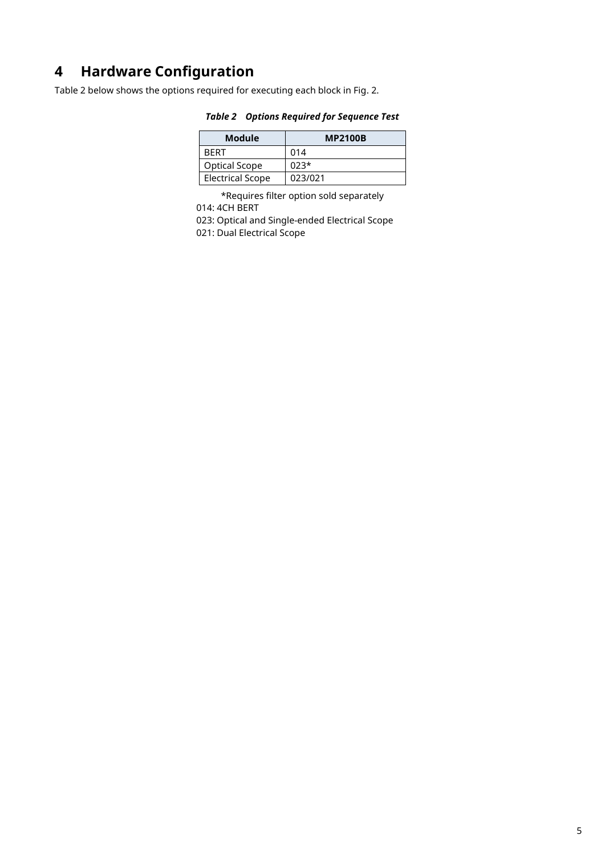# <span id="page-4-0"></span>**4 Hardware Configuration**

Table 2 below shows the options required for executing each block in Fig. 2.

| Module                  | <b>MP2100B</b> |
|-------------------------|----------------|
| RFRT                    | 014            |
| Optical Scope           | $023*$         |
| <b>Electrical Scope</b> | 023/021        |

# *Table 2 Options Required for Sequence Test*

\*Requires filter option sold separately 014: 4CH BERT

023: Optical and Single-ended Electrical Scope

021: Dual Electrical Scope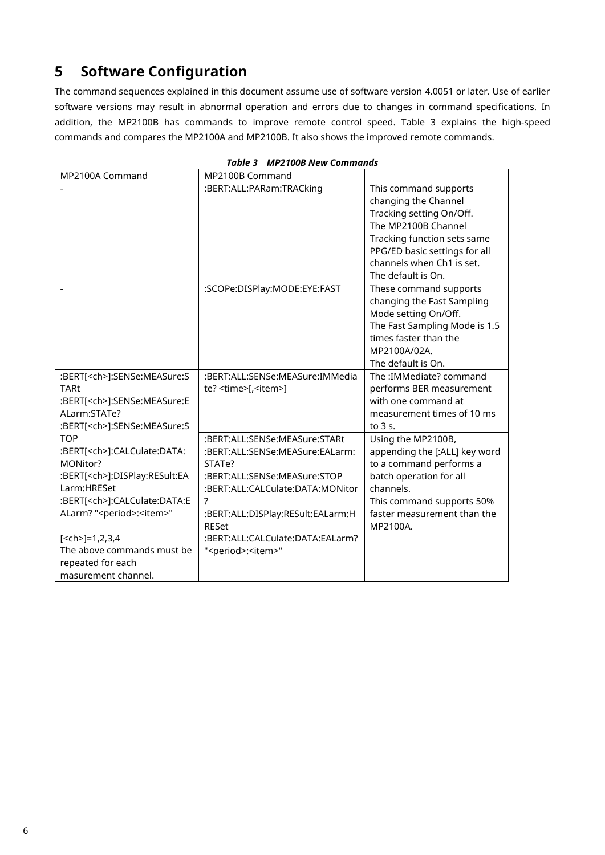# <span id="page-5-0"></span>**5 Software Configuration**

The command sequences explained in this document assume use of software version 4.0051 or later. Use of earlier software versions may result in abnormal operation and errors due to changes in command specifications. In addition, the MP2100B has commands to improve remote control speed. Table 3 explains the high-speed commands and compares the MP2100A and MP2100B. It also shows the improved remote commands.

| MP2100A Command                                | MP2100B Command                           |                                                                                                                                                                                                                     |
|------------------------------------------------|-------------------------------------------|---------------------------------------------------------------------------------------------------------------------------------------------------------------------------------------------------------------------|
|                                                | :BERT:ALL:PARam:TRACking                  | This command supports<br>changing the Channel<br>Tracking setting On/Off.<br>The MP2100B Channel<br>Tracking function sets same<br>PPG/ED basic settings for all<br>channels when Ch1 is set.<br>The default is On. |
|                                                | :SCOPe:DISPlay:MODE:EYE:FAST              | These command supports<br>changing the Fast Sampling<br>Mode setting On/Off.<br>The Fast Sampling Mode is 1.5<br>times faster than the<br>MP2100A/02A.<br>The default is On.                                        |
| :BERT[ <ch>]:SENSe:MEASure:S</ch>              | :BERT:ALL:SENSe:MEASure:IMMedia           | The :IMMediate? command                                                                                                                                                                                             |
| <b>TARt</b>                                    | te? <time>[,<item>]</item></time>         | performs BER measurement                                                                                                                                                                                            |
| :BERT[ <ch>]:SENSe:MEASure:E</ch>              |                                           | with one command at                                                                                                                                                                                                 |
| ALarm:STATe?                                   |                                           | measurement times of 10 ms                                                                                                                                                                                          |
| :BERT[ <ch>]:SENSe:MEASure:S</ch>              |                                           | to 3 s.                                                                                                                                                                                                             |
| <b>TOP</b>                                     | :BERT:ALL:SENSe:MEASure:STARt             | Using the MP2100B,                                                                                                                                                                                                  |
| :BERT[ <ch>]:CALCulate:DATA:<br/>MONitor?</ch> | :BERT:ALL:SENSe:MEASure:EALarm:<br>STATe? | appending the [:ALL] key word<br>to a command performs a                                                                                                                                                            |
| :BERT[ <ch>]:DISPlay:RESult:EA</ch>            | :BERT:ALL:SENSe:MEASure:STOP              | batch operation for all                                                                                                                                                                                             |
| Larm:HRESet                                    | :BERT:ALL:CALCulate:DATA:MONitor          | channels.                                                                                                                                                                                                           |
| :BERT[ <ch>]:CALCulate:DATA:E</ch>             | ?                                         | This command supports 50%                                                                                                                                                                                           |
| ALarm? " <period>:<item>"</item></period>      | :BERT:ALL:DISPlay:RESult:EALarm:H         | faster measurement than the                                                                                                                                                                                         |
|                                                | <b>RESet</b>                              | MP2100A.                                                                                                                                                                                                            |
| $[<$ ch>]=1,2,3,4                              | :BERT:ALL:CALCulate:DATA:EALarm?          |                                                                                                                                                                                                                     |
| The above commands must be                     | " <period>:<item>"</item></period>        |                                                                                                                                                                                                                     |
| repeated for each                              |                                           |                                                                                                                                                                                                                     |
| masurement channel.                            |                                           |                                                                                                                                                                                                                     |

## *Table 3 MP2100B New Commands*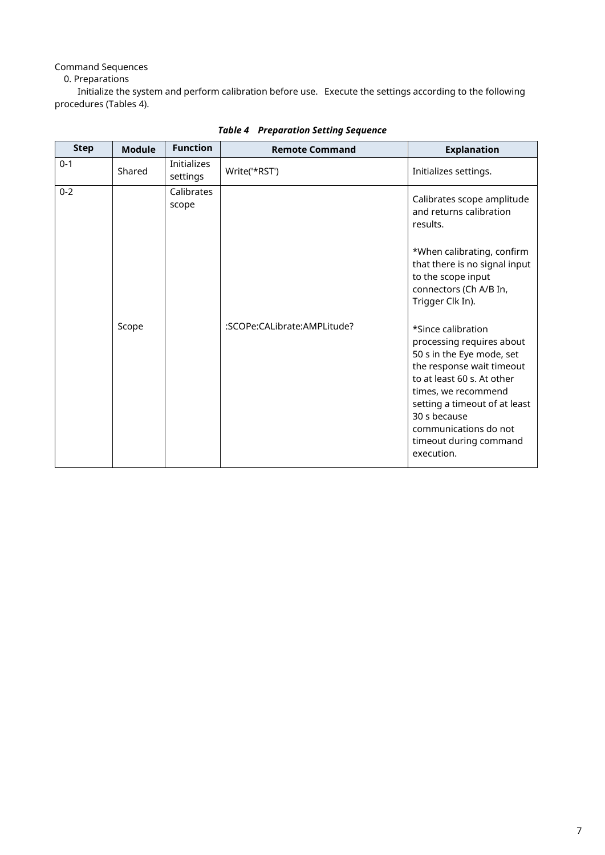Command Sequences

0. Preparations

Initialize the system and perform calibration before use. Execute the settings according to the following procedures (Tables 4).

| <b>Step</b> | <b>Module</b> | <b>Function</b>                | <b>Remote Command</b>       | <b>Explanation</b>                                                                                                                                                                                                                                                               |
|-------------|---------------|--------------------------------|-----------------------------|----------------------------------------------------------------------------------------------------------------------------------------------------------------------------------------------------------------------------------------------------------------------------------|
| $0 - 1$     | Shared        | <b>Initializes</b><br>settings | Write('*RST')               | Initializes settings.                                                                                                                                                                                                                                                            |
| $0 - 2$     |               | Calibrates<br>scope            |                             | Calibrates scope amplitude<br>and returns calibration<br>results.<br>*When calibrating, confirm<br>that there is no signal input<br>to the scope input<br>connectors (Ch A/B In,<br>Trigger Clk In).                                                                             |
|             | Scope         |                                | :SCOPe:CALibrate:AMPLitude? | *Since calibration<br>processing requires about<br>50 s in the Eye mode, set<br>the response wait timeout<br>to at least 60 s. At other<br>times, we recommend<br>setting a timeout of at least<br>30 s because<br>communications do not<br>timeout during command<br>execution. |

# *Table 4 Preparation Setting Sequence*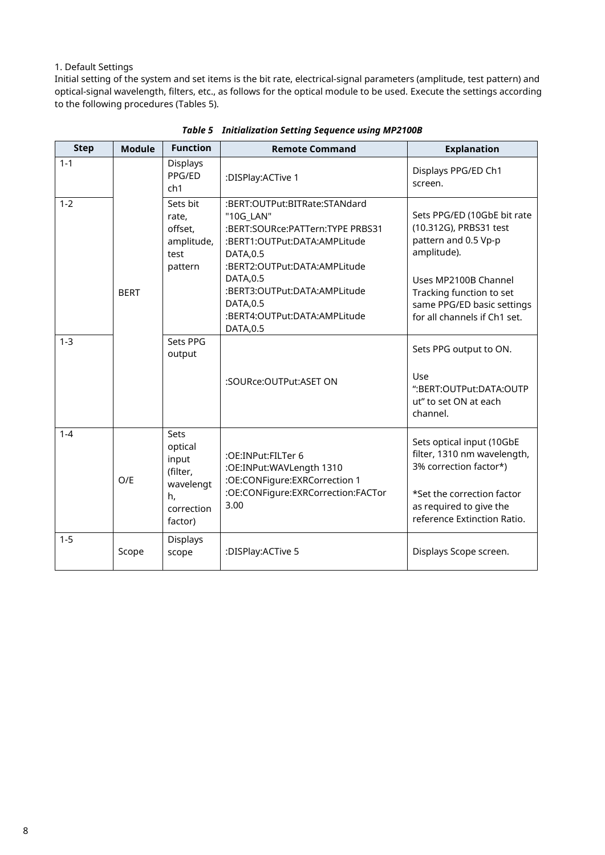## 1. Default Settings

Initial setting of the system and set items is the bit rate, electrical-signal parameters (amplitude, test pattern) and optical-signal wavelength, filters, etc., as follows for the optical module to be used. Execute the settings according to the following procedures (Tables 5).

| <b>Step</b> | <b>Module</b> | <b>Function</b>                                                                  | <b>Remote Command</b>                                                                                                                                                                                    | <b>Explanation</b>                                                                                                                                                         |
|-------------|---------------|----------------------------------------------------------------------------------|----------------------------------------------------------------------------------------------------------------------------------------------------------------------------------------------------------|----------------------------------------------------------------------------------------------------------------------------------------------------------------------------|
| $1 - 1$     |               | <b>Displays</b><br>PPG/ED<br>ch1                                                 | :DISPlay:ACTive 1                                                                                                                                                                                        | Displays PPG/ED Ch1<br>screen.                                                                                                                                             |
| $1 - 2$     | <b>BERT</b>   | Sets bit<br>rate,<br>offset,<br>amplitude,<br>test<br>pattern                    | :BERT:OUTPut:BITRate:STANdard<br>"10G LAN"<br>:BERT:SOURce:PATTern:TYPE PRBS31<br>:BERT1:OUTPut:DATA:AMPLitude<br>DATA, 0.5<br>:BERT2:OUTPut:DATA:AMPLitude<br>DATA, 0.5<br>:BERT3:OUTPut:DATA:AMPLitude | Sets PPG/ED (10GbE bit rate<br>(10.312G), PRBS31 test<br>pattern and 0.5 Vp-p<br>amplitude).<br>Uses MP2100B Channel<br>Tracking function to set                           |
|             |               |                                                                                  | DATA, 0.5<br>:BERT4:OUTPut:DATA:AMPLitude<br>DATA, 0.5                                                                                                                                                   | same PPG/ED basic settings<br>for all channels if Ch1 set.                                                                                                                 |
| $1 - 3$     |               | Sets PPG<br>output                                                               | :SOURce:OUTPut:ASET ON                                                                                                                                                                                   | Sets PPG output to ON.<br>Use<br>":BERT:OUTPut:DATA:OUTP<br>ut" to set ON at each<br>channel.                                                                              |
| $1 - 4$     | O/E           | Sets<br>optical<br>input<br>(filter,<br>wavelengt<br>h,<br>correction<br>factor) | :OE:INPut:FILTer 6<br>:OE:INPut:WAVLength 1310<br>:OE:CONFigure:EXRCorrection 1<br>:OE:CONFigure:EXRCorrection:FACTor<br>3.00                                                                            | Sets optical input (10GbE<br>filter, 1310 nm wavelength,<br>3% correction factor*)<br>*Set the correction factor<br>as required to give the<br>reference Extinction Ratio. |
| $1 - 5$     | Scope         | Displays<br>scope                                                                | :DISPlay:ACTive 5                                                                                                                                                                                        | Displays Scope screen.                                                                                                                                                     |

## *Table 5 Initialization Setting Sequence using MP2100B*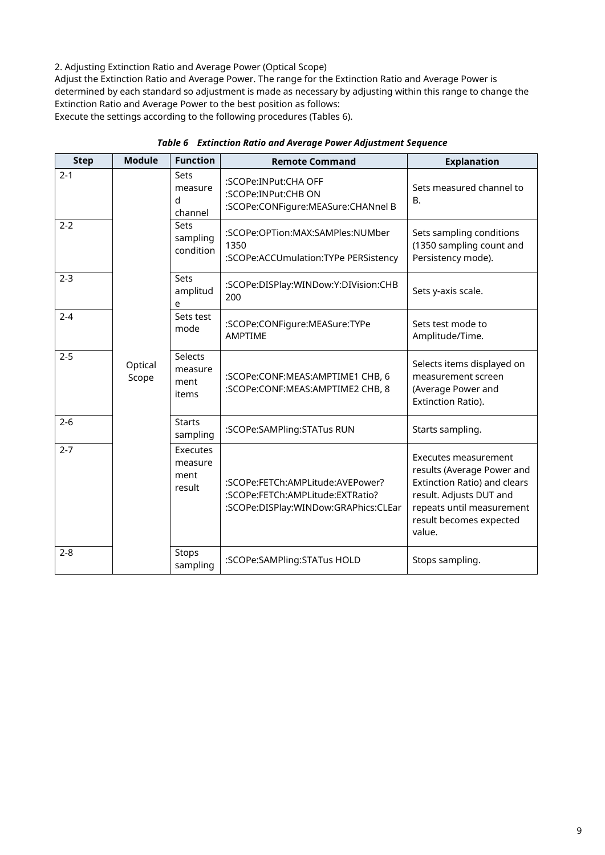2. Adjusting Extinction Ratio and Average Power (Optical Scope)

Adjust the Extinction Ratio and Average Power. The range for the Extinction Ratio and Average Power is determined by each standard so adjustment is made as necessary by adjusting within this range to change the Extinction Ratio and Average Power to the best position as follows:

Execute the settings according to the following procedures (Tables 6).

| <b>Step</b> | <b>Module</b>    | <b>Function</b>                       | <b>Remote Command</b>                                                                                        | <b>Explanation</b>                                                                                                                                                              |
|-------------|------------------|---------------------------------------|--------------------------------------------------------------------------------------------------------------|---------------------------------------------------------------------------------------------------------------------------------------------------------------------------------|
| $2 - 1$     |                  | Sets<br>measure<br>d<br>channel       | :SCOPe:INPut:CHA OFF<br>:SCOPe:INPut:CHB ON<br>:SCOPe:CONFigure:MEASure:CHANnel B                            | Sets measured channel to<br><b>B.</b>                                                                                                                                           |
| $2 - 2$     |                  | Sets<br>sampling<br>condition         | :SCOPe:OPTion:MAX:SAMPles:NUMber<br>1350<br>:SCOPe:ACCUmulation:TYPe PERSistency                             | Sets sampling conditions<br>(1350 sampling count and<br>Persistency mode).                                                                                                      |
| $2 - 3$     |                  | Sets<br>amplitud<br>e                 | :SCOPe:DISPlay:WINDow:Y:DIVision:CHB<br>200                                                                  | Sets y-axis scale.                                                                                                                                                              |
| $2 - 4$     |                  | Sets test<br>mode                     | :SCOPe:CONFigure:MEASure:TYPe<br>AMPTIME                                                                     | Sets test mode to<br>Amplitude/Time.                                                                                                                                            |
| $2 - 5$     | Optical<br>Scope | Selects<br>measure<br>ment<br>items   | :SCOPe:CONF:MEAS:AMPTIME1 CHB, 6<br>:SCOPe:CONF:MEAS:AMPTIME2 CHB, 8                                         | Selects items displayed on<br>measurement screen<br>(Average Power and<br>Extinction Ratio).                                                                                    |
| $2 - 6$     |                  | <b>Starts</b><br>sampling             | :SCOPe:SAMPling:STATus RUN                                                                                   | Starts sampling.                                                                                                                                                                |
| $2 - 7$     |                  | Executes<br>measure<br>ment<br>result | :SCOPe:FETCh:AMPLitude:AVEPower?<br>:SCOPe:FETCh:AMPLitude:EXTRatio?<br>:SCOPe:DISPlay:WINDow:GRAPhics:CLEar | Executes measurement<br>results (Average Power and<br>Extinction Ratio) and clears<br>result. Adjusts DUT and<br>repeats until measurement<br>result becomes expected<br>value. |
| $2 - 8$     |                  | Stops<br>sampling                     | :SCOPe:SAMPling:STATus HOLD                                                                                  | Stops sampling.                                                                                                                                                                 |

## *Table 6 Extinction Ratio and Average Power Adjustment Sequence*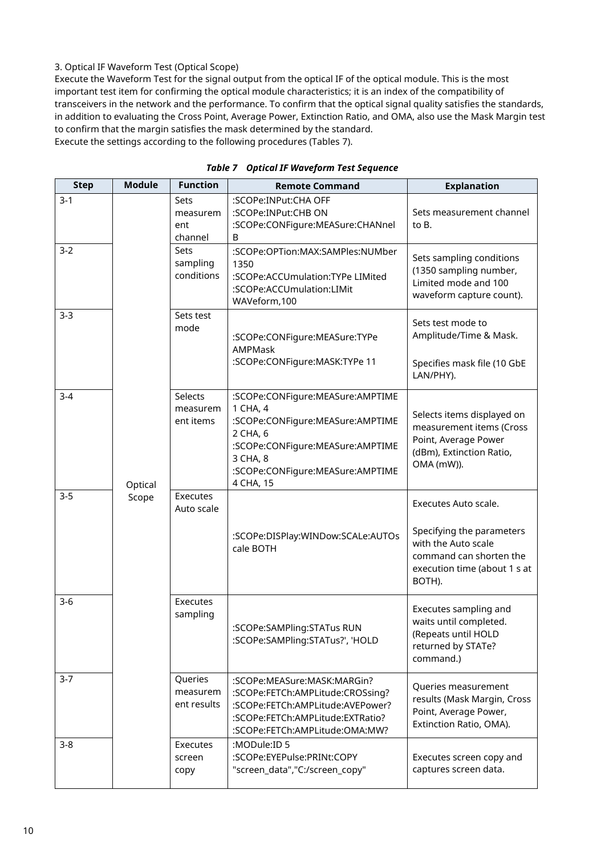## 3. Optical IF Waveform Test (Optical Scope)

Execute the Waveform Test for the signal output from the optical IF of the optical module. This is the most important test item for confirming the optical module characteristics; it is an index of the compatibility of transceivers in the network and the performance. To confirm that the optical signal quality satisfies the standards, in addition to evaluating the Cross Point, Average Power, Extinction Ratio, and OMA, also use the Mask Margin test to confirm that the margin satisfies the mask determined by the standard. Execute the settings according to the following procedures (Tables 7).

| <b>Step</b> | <b>Module</b> | <b>Function</b>                           | <b>Remote Command</b>                                                                                                                                                                         | <b>Explanation</b>                                                                                                                            |
|-------------|---------------|-------------------------------------------|-----------------------------------------------------------------------------------------------------------------------------------------------------------------------------------------------|-----------------------------------------------------------------------------------------------------------------------------------------------|
| $3-1$       |               | <b>Sets</b><br>measurem<br>ent<br>channel | :SCOPe:INPut:CHA OFF<br>:SCOPe:INPut:CHB ON<br>:SCOPe:CONFigure:MEASure:CHANnel<br>B                                                                                                          | Sets measurement channel<br>to B.                                                                                                             |
| $3 - 2$     |               | Sets<br>sampling<br>conditions            | :SCOPe:OPTion:MAX:SAMPles:NUMber<br>1350<br>:SCOPe:ACCUmulation:TYPe LIMited<br>:SCOPe:ACCUmulation:LIMit<br>WAVeform, 100                                                                    | Sets sampling conditions<br>(1350 sampling number,<br>Limited mode and 100<br>waveform capture count).                                        |
| $3-3$       |               | Sets test<br>mode                         | :SCOPe:CONFigure:MEASure:TYPe<br>AMPMask<br>:SCOPe:CONFigure:MASK:TYPe 11                                                                                                                     | Sets test mode to<br>Amplitude/Time & Mask.<br>Specifies mask file (10 GbE<br>LAN/PHY).                                                       |
| $3 - 4$     | Optical       | Selects<br>measurem<br>ent items          | :SCOPe:CONFigure:MEASure:AMPTIME<br>1 CHA, 4<br>:SCOPe:CONFigure:MEASure:AMPTIME<br>2 CHA, 6<br>:SCOPe:CONFigure:MEASure:AMPTIME<br>3 CHA, 8<br>:SCOPe:CONFigure:MEASure:AMPTIME<br>4 CHA, 15 | Selects items displayed on<br>measurement items (Cross<br>Point, Average Power<br>(dBm), Extinction Ratio,<br>OMA (mW)).                      |
| $3 - 5$     | Scope         | Executes<br>Auto scale                    | :SCOPe:DISPlay:WINDow:SCALe:AUTOs<br>cale BOTH                                                                                                                                                | Executes Auto scale.<br>Specifying the parameters<br>with the Auto scale<br>command can shorten the<br>execution time (about 1 s at<br>BOTH). |
| $3-6$       |               | Executes<br>sampling                      | :SCOPe:SAMPling:STATus RUN<br>:SCOPe:SAMPling:STATus?', 'HOLD                                                                                                                                 | Executes sampling and<br>waits until completed.<br>(Repeats until HOLD<br>returned by STATe?<br>command.)                                     |
| $3 - 7$     |               | Queries<br>measurem<br>ent results        | :SCOPe:MEASure:MASK:MARGin?<br>:SCOPe:FETCh:AMPLitude:CROSsing?<br>:SCOPe:FETCh:AMPLitude:AVEPower?<br>:SCOPe:FETCh:AMPLitude:EXTRatio?<br>:SCOPe:FETCh:AMPLitude:OMA:MW?                     | Queries measurement<br>results (Mask Margin, Cross<br>Point, Average Power,<br>Extinction Ratio, OMA).                                        |
| $3 - 8$     |               | Executes<br>screen<br>copy                | :MODule:ID 5<br>:SCOPe:EYEPulse:PRINt:COPY<br>"screen_data","C:/screen_copy"                                                                                                                  | Executes screen copy and<br>captures screen data.                                                                                             |

*Table 7 Optical IF Waveform Test Sequence*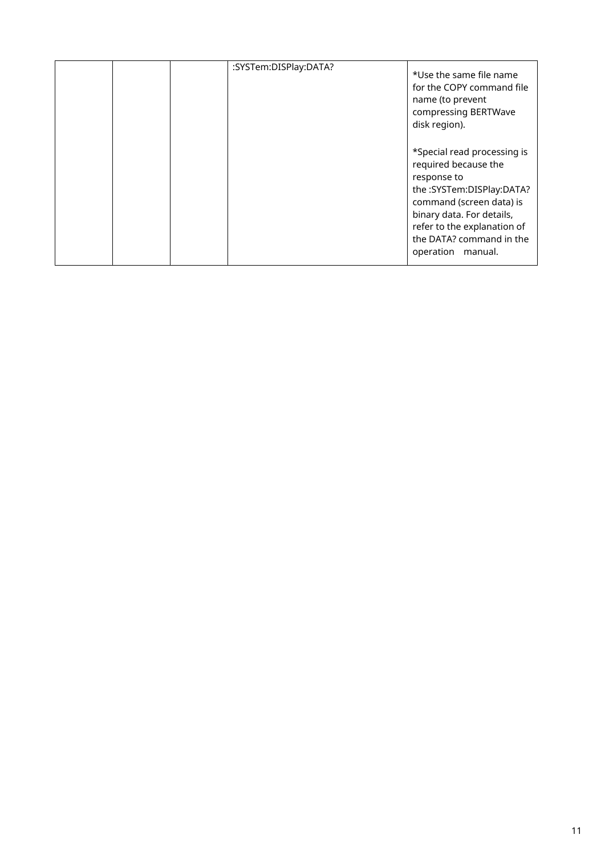| :SYSTem:DISPlay:DATA? | *Use the same file name<br>for the COPY command file<br>name (to prevent<br>compressing BERTWave<br>disk region).                                                                                                                           |
|-----------------------|---------------------------------------------------------------------------------------------------------------------------------------------------------------------------------------------------------------------------------------------|
|                       | *Special read processing is<br>required because the<br>response to<br>the :SYSTem:DISPlay:DATA?<br>command (screen data) is<br>binary data. For details,<br>refer to the explanation of<br>the DATA? command in the<br>operation<br>manual. |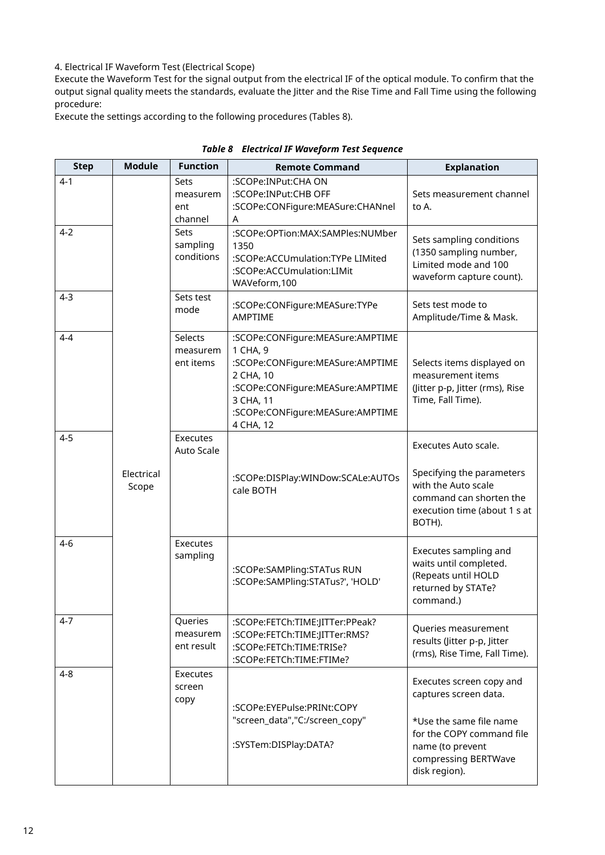## 4. Electrical IF Waveform Test (Electrical Scope)

Execute the Waveform Test for the signal output from the electrical IF of the optical module. To confirm that the output signal quality meets the standards, evaluate the Jitter and the Rise Time and Fall Time using the following procedure:

Execute the settings according to the following procedures (Tables 8).

| <b>Step</b> | <b>Module</b>       | <b>Function</b>                    | <b>Remote Command</b>                                                                                                                                                                           | <b>Explanation</b>                                                                                                                                                     |
|-------------|---------------------|------------------------------------|-------------------------------------------------------------------------------------------------------------------------------------------------------------------------------------------------|------------------------------------------------------------------------------------------------------------------------------------------------------------------------|
| $4-1$       |                     | Sets<br>measurem<br>ent<br>channel | :SCOPe:INPut:CHA ON<br>:SCOPe:INPut:CHB OFF<br>:SCOPe:CONFigure:MEASure:CHANnel<br>A                                                                                                            | Sets measurement channel<br>to A.                                                                                                                                      |
| $4-2$       |                     | Sets<br>sampling<br>conditions     | :SCOPe:OPTion:MAX:SAMPles:NUMber<br>1350<br>:SCOPe:ACCUmulation:TYPe LIMited<br>:SCOPe:ACCUmulation:LIMit<br>WAVeform,100                                                                       | Sets sampling conditions<br>(1350 sampling number,<br>Limited mode and 100<br>waveform capture count).                                                                 |
| $4 - 3$     |                     | Sets test<br>mode                  | :SCOPe:CONFigure:MEASure:TYPe<br><b>AMPTIME</b>                                                                                                                                                 | Sets test mode to<br>Amplitude/Time & Mask.                                                                                                                            |
| 4-4         |                     | Selects<br>measurem<br>ent items   | :SCOPe:CONFigure:MEASure:AMPTIME<br>1 CHA, 9<br>:SCOPe:CONFigure:MEASure:AMPTIME<br>2 CHA, 10<br>:SCOPe:CONFigure:MEASure:AMPTIME<br>3 CHA, 11<br>:SCOPe:CONFigure:MEASure:AMPTIME<br>4 CHA, 12 | Selects items displayed on<br>measurement items<br>(Jitter p-p, Jitter (rms), Rise<br>Time, Fall Time).                                                                |
| $4 - 5$     | Electrical<br>Scope | Executes<br>Auto Scale             | :SCOPe:DISPlay:WINDow:SCALe:AUTOs<br>cale BOTH                                                                                                                                                  | Executes Auto scale.<br>Specifying the parameters<br>with the Auto scale<br>command can shorten the<br>execution time (about 1 s at<br>BOTH).                          |
| 4-6         |                     | Executes<br>sampling               | :SCOPe:SAMPling:STATus RUN<br>:SCOPe:SAMPling:STATus?', 'HOLD'                                                                                                                                  | Executes sampling and<br>waits until completed.<br>(Repeats until HOLD<br>returned by STATe?<br>command.)                                                              |
| $4 - 7$     |                     | Queries<br>measurem<br>ent result  | :SCOPe:FETCh:TIME:JITTer:PPeak?<br>:SCOPe:FETCh:TIME:JITTer:RMS?<br>:SCOPe:FETCh:TIME:TRISe?<br>:SCOPe:FETCh:TIME:FTIMe?                                                                        | Queries measurement<br>results (Jitter p-p, Jitter<br>(rms), Rise Time, Fall Time).                                                                                    |
| $4 - 8$     |                     | Executes<br>screen<br>copy         | :SCOPe:EYEPulse:PRINt:COPY<br>"screen_data","C:/screen_copy"<br>:SYSTem:DISPlay:DATA?                                                                                                           | Executes screen copy and<br>captures screen data.<br>*Use the same file name<br>for the COPY command file<br>name (to prevent<br>compressing BERTWave<br>disk region). |

*Table 8 Electrical IF Waveform Test Sequence*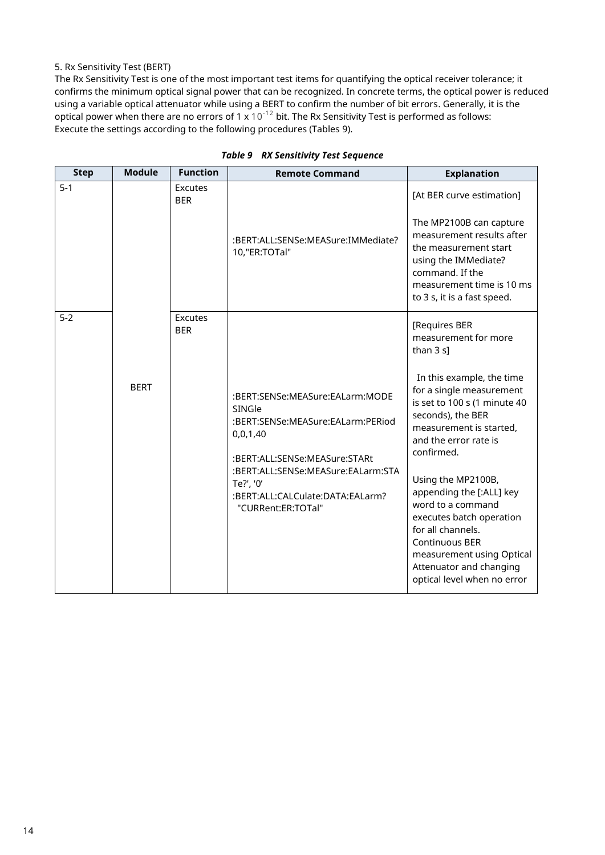## 5. Rx Sensitivity Test (BERT)

The Rx Sensitivity Test is one of the most important test items for quantifying the optical receiver tolerance; it confirms the minimum optical signal power that can be recognized. In concrete terms, the optical power is reduced using a variable optical attenuator while using a BERT to confirm the number of bit errors. Generally, it is the optical power when there are no errors of 1 x  $10^{-12}$  bit. The Rx Sensitivity Test is performed as follows: Execute the settings according to the following procedures (Tables 9).

<span id="page-13-0"></span>

| <b>Step</b> | <b>Module</b> | <b>Function</b>       | <b>Remote Command</b>                                                                                                                                                                                                                    | <b>Explanation</b>                                                                                                                                                                                                                                                                                                                                                                                                                                                     |
|-------------|---------------|-----------------------|------------------------------------------------------------------------------------------------------------------------------------------------------------------------------------------------------------------------------------------|------------------------------------------------------------------------------------------------------------------------------------------------------------------------------------------------------------------------------------------------------------------------------------------------------------------------------------------------------------------------------------------------------------------------------------------------------------------------|
| $5-1$       |               | Excutes<br><b>BER</b> | :BERT:ALL:SENSe:MEASure:IMMediate?<br>10,"ER:TOTal"                                                                                                                                                                                      | [At BER curve estimation]<br>The MP2100B can capture<br>measurement results after<br>the measurement start<br>using the IMMediate?<br>command. If the<br>measurement time is 10 ms<br>to 3 s, it is a fast speed.                                                                                                                                                                                                                                                      |
| $5-2$       | <b>BERT</b>   | Excutes<br><b>BER</b> | :BERT:SENSe:MEASure:EALarm:MODE<br>SINGle<br>:BERT:SENSe:MEASure:EALarm:PERiod<br>0,0,1,40<br>:BERT:ALL:SENSe:MEASure:STARt<br>:BERT:ALL:SENSe:MEASure:EALarm:STA<br>Te?', '0'<br>:BERT:ALL:CALCulate:DATA:EALarm?<br>"CURRent:ER:TOTal" | [Requires BER<br>measurement for more<br>than $3 s$ ]<br>In this example, the time<br>for a single measurement<br>is set to 100 s (1 minute 40<br>seconds), the BER<br>measurement is started,<br>and the error rate is<br>confirmed.<br>Using the MP2100B,<br>appending the [:ALL] key<br>word to a command<br>executes batch operation<br>for all channels.<br>Continuous BER<br>measurement using Optical<br>Attenuator and changing<br>optical level when no error |

|  |  | <b>Table 9 RX Sensitivity Test Sequence</b> |
|--|--|---------------------------------------------|
|--|--|---------------------------------------------|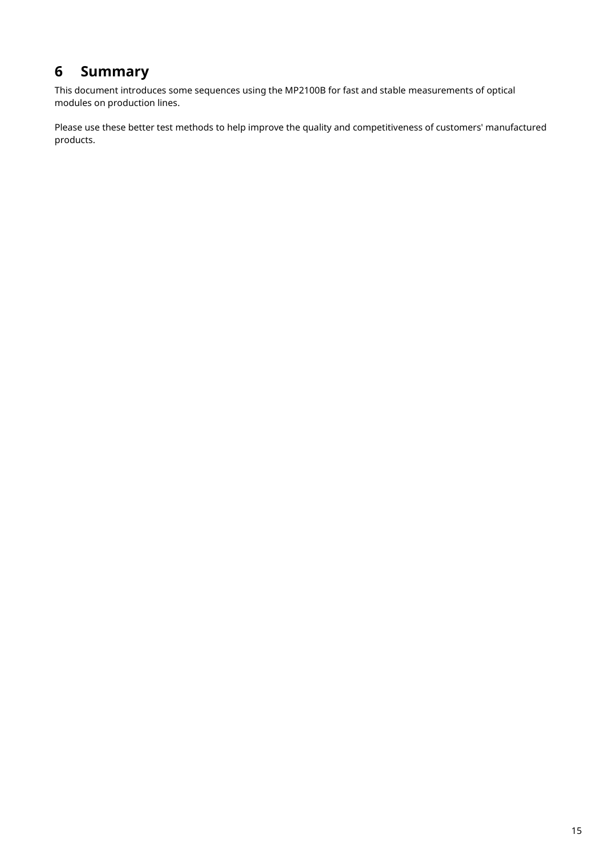# **6 Summary**

This document introduces some sequences using the MP2100B for fast and stable measurements of optical modules on production lines.

Please use these better test methods to help improve the quality and competitiveness of customers' manufactured products.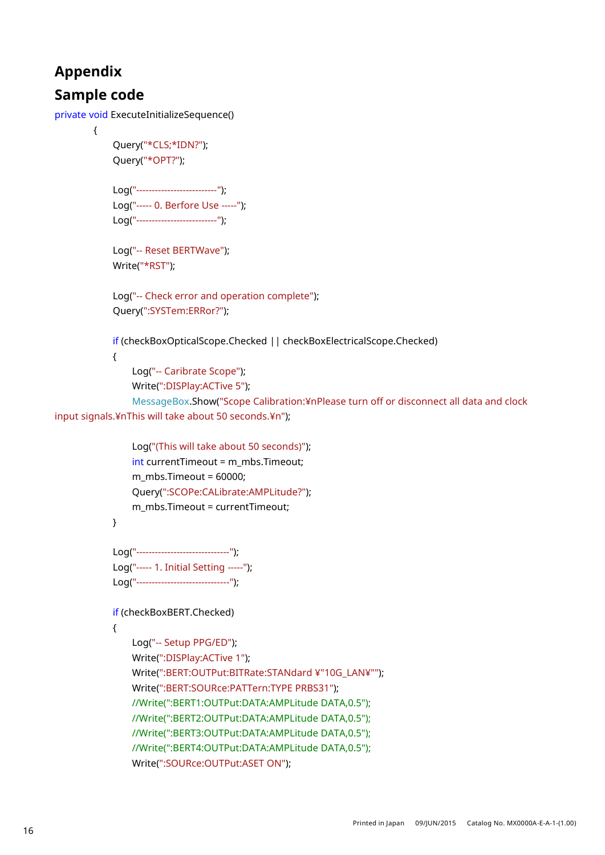# **Appendix**

# **Sample code**

private void ExecuteInitializeSequence()

```
 {
```

```
 Query("*CLS;*IDN?");
 Query("*OPT?");
```

```
 Log("--------------------------");
 Log("----- 0. Berfore Use -----");
 Log("--------------------------");
```
 Log("-- Reset BERTWave"); Write("\*RST");

 Log("-- Check error and operation complete"); Query(":SYSTem:ERRor?");

if (checkBoxOpticalScope.Checked || checkBoxElectricalScope.Checked)

 $\{$ 

Log("-- Caribrate Scope");

Write(":DISPlay:ACTive 5");

 MessageBox.Show("Scope Calibration:¥nPlease turn off or disconnect all data and clock input signals.¥nThis will take about 50 seconds.¥n");

```
 Log("(This will take about 50 seconds)");
int currentTimeout = m_mbs.Timeout;
m_mbs.Timeout = 60000;
 Query(":SCOPe:CALibrate:AMPLitude?");
 m_mbs.Timeout = currentTimeout;
```
}

```
 Log("------------------------------");
 Log("----- 1. Initial Setting -----");
 Log("------------------------------");
```
if (checkBoxBERT.Checked)

```
\{
```

```
 Log("-- Setup PPG/ED");
 Write(":DISPlay:ACTive 1");
 Write(":BERT:OUTPut:BITRate:STANdard ¥"10G_LAN¥"");
 Write(":BERT:SOURce:PATTern:TYPE PRBS31");
 //Write(":BERT1:OUTPut:DATA:AMPLitude DATA,0.5");
 //Write(":BERT2:OUTPut:DATA:AMPLitude DATA,0.5");
 //Write(":BERT3:OUTPut:DATA:AMPLitude DATA,0.5");
 //Write(":BERT4:OUTPut:DATA:AMPLitude DATA,0.5");
 Write(":SOURce:OUTPut:ASET ON");
```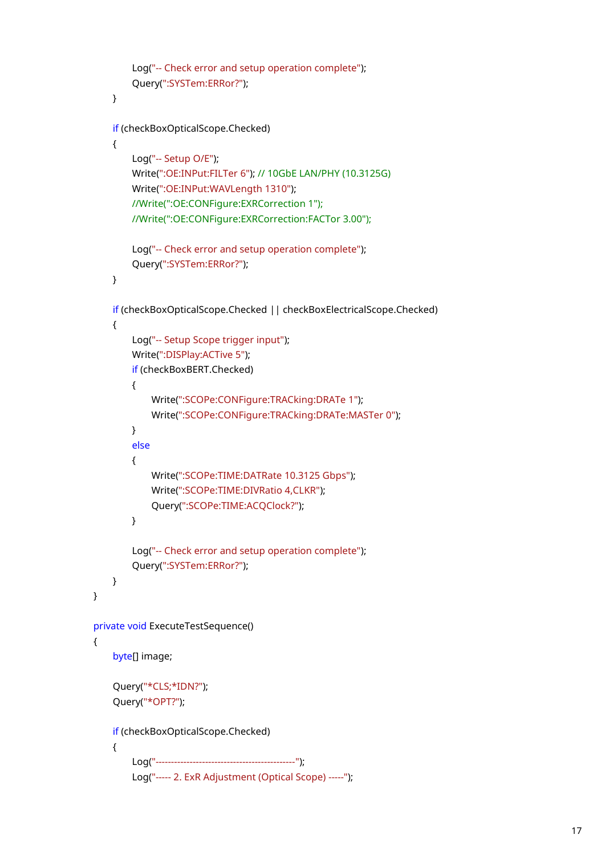```
 Log("-- Check error and setup operation complete");
                Query(":SYSTem:ERRor?");
 }
            if (checkBoxOpticalScope.Checked)
\{ Log("-- Setup O/E");
                Write(":OE:INPut:FILTer 6"); // 10GbE LAN/PHY (10.3125G)
                Write(":OE:INPut:WAVLength 1310");
                //Write(":OE:CONFigure:EXRCorrection 1");
                //Write(":OE:CONFigure:EXRCorrection:FACTor 3.00");
                Log("-- Check error and setup operation complete");
                Query(":SYSTem:ERRor?");
 }
            if (checkBoxOpticalScope.Checked || checkBoxElectricalScope.Checked)
\{ Log("-- Setup Scope trigger input");
                Write(":DISPlay:ACTive 5");
                if (checkBoxBERT.Checked)
\{ Write(":SCOPe:CONFigure:TRACking:DRATe 1");
                    Write(":SCOPe:CONFigure:TRACking:DRATe:MASTer 0");
 }
                else
\{ Write(":SCOPe:TIME:DATRate 10.3125 Gbps");
                    Write(":SCOPe:TIME:DIVRatio 4,CLKR");
                    Query(":SCOPe:TIME:ACQClock?");
 }
                Log("-- Check error and setup operation complete");
                Query(":SYSTem:ERRor?");
            }
        }
        private void ExecuteTestSequence()
 {
            byte[] image;
            Query("*CLS;*IDN?");
            Query("*OPT?");
            if (checkBoxOpticalScope.Checked)
\{ Log("---------------------------------------------");
                Log("----- 2. ExR Adjustment (Optical Scope) -----");
```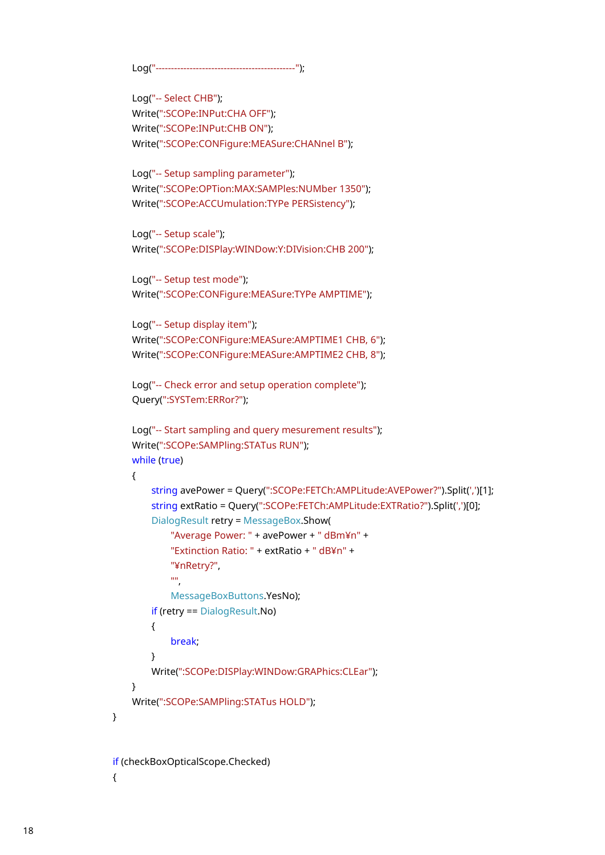```
 Log("---------------------------------------------");
```

```
 Log("-- Select CHB");
 Write(":SCOPe:INPut:CHA OFF");
 Write(":SCOPe:INPut:CHB ON");
 Write(":SCOPe:CONFigure:MEASure:CHANnel B");
 Log("-- Setup sampling parameter");
 Write(":SCOPe:OPTion:MAX:SAMPles:NUMber 1350");
```

```
 Log("-- Setup scale");
 Write(":SCOPe:DISPlay:WINDow:Y:DIVision:CHB 200");
```
Write(":SCOPe:ACCUmulation:TYPe PERSistency");

```
 Log("-- Setup test mode");
 Write(":SCOPe:CONFigure:MEASure:TYPe AMPTIME");
```

```
 Log("-- Setup display item");
 Write(":SCOPe:CONFigure:MEASure:AMPTIME1 CHB, 6");
 Write(":SCOPe:CONFigure:MEASure:AMPTIME2 CHB, 8");
```

```
 Log("-- Check error and setup operation complete");
 Query(":SYSTem:ERRor?");
```

```
 Log("-- Start sampling and query mesurement results");
 Write(":SCOPe:SAMPling:STATus RUN");
 while (true)
```

```
\{
```

```
 string avePower = Query(":SCOPe:FETCh:AMPLitude:AVEPower?").Split(',')[1];
 string extRatio = Query(":SCOPe:FETCh:AMPLitude:EXTRatio?").Split(',')[0];
 DialogResult retry = MessageBox.Show(
     "Average Power: " + avePower + " dBm¥n" +
```

```
 "Extinction Ratio: " + extRatio + " dB¥n" +
 "¥nRetry?",
```

```
 "",
```

```
 MessageBoxButtons.YesNo);
```

```
 if (retry == DialogResult.No)
```

```
{z} and {z} and {z} and {z} and {z}
```
break;

```
 }
               Write(":SCOPe:DISPlay:WINDow:GRAPhics:CLEar");
```

```
 }
```

```
 Write(":SCOPe:SAMPling:STATus HOLD");
```

```
 }
```

```
 if (checkBoxOpticalScope.Checked)
\{
```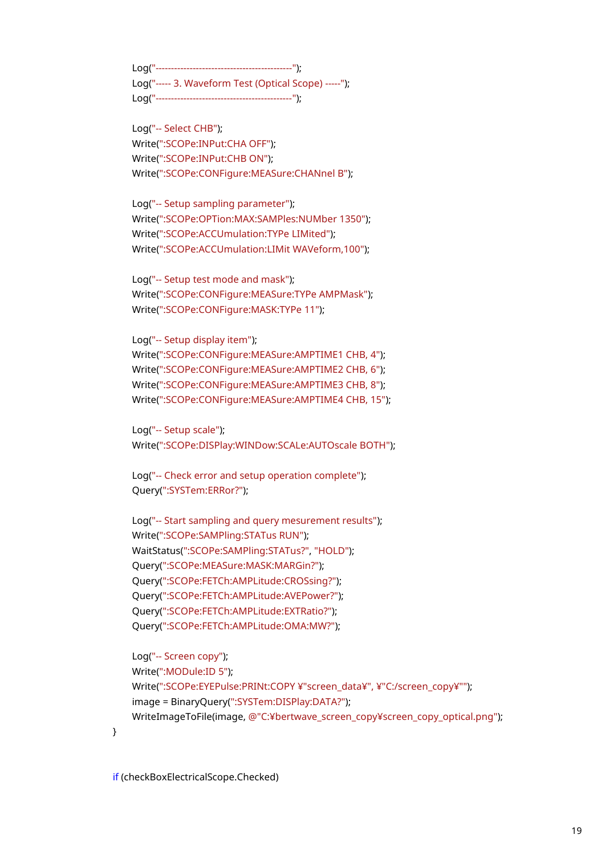Log("--------------------------------------------"); Log("----- 3. Waveform Test (Optical Scope) -----"); Log("--------------------------------------------");

 Log("-- Select CHB"); Write(":SCOPe:INPut:CHA OFF"); Write(":SCOPe:INPut:CHB ON"); Write(":SCOPe:CONFigure:MEASure:CHANnel B");

 Log("-- Setup sampling parameter"); Write(":SCOPe:OPTion:MAX:SAMPles:NUMber 1350"); Write(":SCOPe:ACCUmulation:TYPe LIMited"); Write(":SCOPe:ACCUmulation:LIMit WAVeform,100");

 Log("-- Setup test mode and mask"); Write(":SCOPe:CONFigure:MEASure:TYPe AMPMask"); Write(":SCOPe:CONFigure:MASK:TYPe 11");

 Log("-- Setup display item"); Write(":SCOPe:CONFigure:MEASure:AMPTIME1 CHB, 4"); Write(":SCOPe:CONFigure:MEASure:AMPTIME2 CHB, 6"); Write(":SCOPe:CONFigure:MEASure:AMPTIME3 CHB, 8"); Write(":SCOPe:CONFigure:MEASure:AMPTIME4 CHB, 15");

 Log("-- Setup scale"); Write(":SCOPe:DISPlay:WINDow:SCALe:AUTOscale BOTH");

 Log("-- Check error and setup operation complete"); Query(":SYSTem:ERRor?");

 Log("-- Start sampling and query mesurement results"); Write(":SCOPe:SAMPling:STATus RUN"); WaitStatus(":SCOPe:SAMPling:STATus?", "HOLD"); Query(":SCOPe:MEASure:MASK:MARGin?"); Query(":SCOPe:FETCh:AMPLitude:CROSsing?"); Query(":SCOPe:FETCh:AMPLitude:AVEPower?"); Query(":SCOPe:FETCh:AMPLitude:EXTRatio?"); Query(":SCOPe:FETCh:AMPLitude:OMA:MW?");

 Log("-- Screen copy"); Write(":MODule:ID 5"); Write(":SCOPe:EYEPulse:PRINt:COPY ¥"screen\_data¥", ¥"C:/screen\_copy¥""); image = BinaryQuery(":SYSTem:DISPlay:DATA?"); WriteImageToFile(image, @"C:¥bertwave\_screen\_copy¥screen\_copy\_optical.png");

}

if (checkBoxElectricalScope.Checked)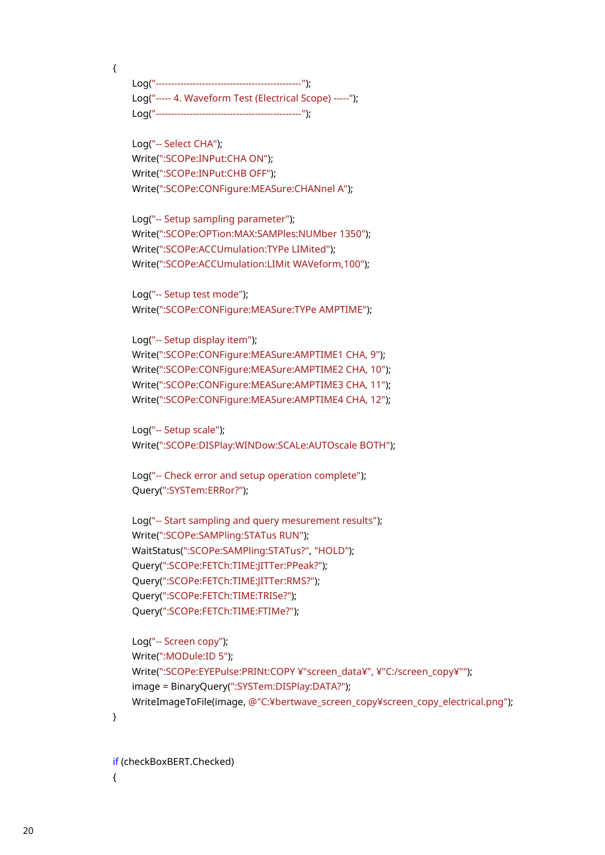$\{$ 

 Log("-----------------------------------------------"); Log("----- 4. Waveform Test (Electrical Scope) -----"); Log("-----------------------------------------------");

 Log("-- Select CHA"); Write(":SCOPe:INPut:CHA ON"); Write(":SCOPe:INPut:CHB OFF"); Write(":SCOPe:CONFigure:MEASure:CHANnel A");

 Log("-- Setup sampling parameter"); Write(":SCOPe:OPTion:MAX:SAMPles:NUMber 1350"); Write(":SCOPe:ACCUmulation:TYPe LIMited"); Write(":SCOPe:ACCUmulation:LIMit WAVeform,100");

 Log("-- Setup test mode"); Write(":SCOPe:CONFigure:MEASure:TYPe AMPTIME");

 Log("-- Setup display item"); Write(":SCOPe:CONFigure:MEASure:AMPTIME1 CHA, 9"); Write(":SCOPe:CONFigure:MEASure:AMPTIME2 CHA, 10"); Write(":SCOPe:CONFigure:MEASure:AMPTIME3 CHA, 11"); Write(":SCOPe:CONFigure:MEASure:AMPTIME4 CHA, 12");

 Log("-- Setup scale"); Write(":SCOPe:DISPlay:WINDow:SCALe:AUTOscale BOTH");

 Log("-- Check error and setup operation complete"); Query(":SYSTem:ERRor?");

 Log("-- Start sampling and query mesurement results"); Write(":SCOPe:SAMPling:STATus RUN"); WaitStatus(":SCOPe:SAMPling:STATus?", "HOLD"); Query(":SCOPe:FETCh:TIME:JITTer:PPeak?"); Query(":SCOPe:FETCh:TIME:JITTer:RMS?"); Query(":SCOPe:FETCh:TIME:TRISe?"); Query(":SCOPe:FETCh:TIME:FTIMe?");

 Log("-- Screen copy"); Write(":MODule:ID 5"); Write(":SCOPe:EYEPulse:PRINt:COPY ¥"screen\_data¥", ¥"C:/screen\_copy¥""); image = BinaryQuery(":SYSTem:DISPlay:DATA?"); WriteImageToFile(image, @"C:¥bertwave\_screen\_copy¥screen\_copy\_electrical.png");

}

if (checkBoxBERT.Checked)

 $\{$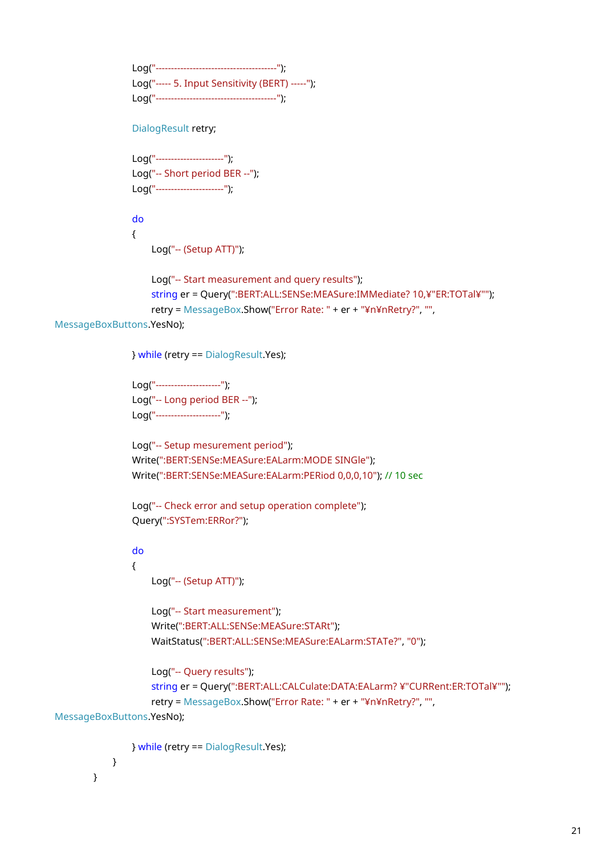```
 Log("---------------------------------------");
 Log("----- 5. Input Sensitivity (BERT) -----");
 Log("---------------------------------------");
```
DialogResult retry;

```
 Log("----------------------");
 Log("-- Short period BER --");
 Log("----------------------");
```
 do  $\{$ 

Log("-- (Setup ATT)");

```
 Log("-- Start measurement and query results");
 string er = Query(":BERT:ALL:SENSe:MEASure:IMMediate? 10,¥"ER:TOTal¥"");
 retry = MessageBox.Show("Error Rate: " + er + "¥n¥nRetry?", "",
```
MessageBoxButtons.YesNo);

} while (retry == DialogResult.Yes);

```
 Log("---------------------");
 Log("-- Long period BER --");
 Log("---------------------");
```
 Log("-- Setup mesurement period"); Write(":BERT:SENSe:MEASure:EALarm:MODE SINGle"); Write(":BERT:SENSe:MEASure:EALarm:PERiod 0,0,0,10"); // 10 sec

 Log("-- Check error and setup operation complete"); Query(":SYSTem:ERRor?");

do

### $\overline{\mathcal{L}}$

Log("-- (Setup ATT)");

```
 Log("-- Start measurement");
 Write(":BERT:ALL:SENSe:MEASure:STARt");
 WaitStatus(":BERT:ALL:SENSe:MEASure:EALarm:STATe?", "0");
```

```
 Log("-- Query results");
```

```
 string er = Query(":BERT:ALL:CALCulate:DATA:EALarm? ¥"CURRent:ER:TOTal¥"");
 retry = MessageBox.Show("Error Rate: " + er + "¥n¥nRetry?", "",
```
MessageBoxButtons.YesNo);

} while (retry == DialogResult.Yes);

```
 }
   }
```